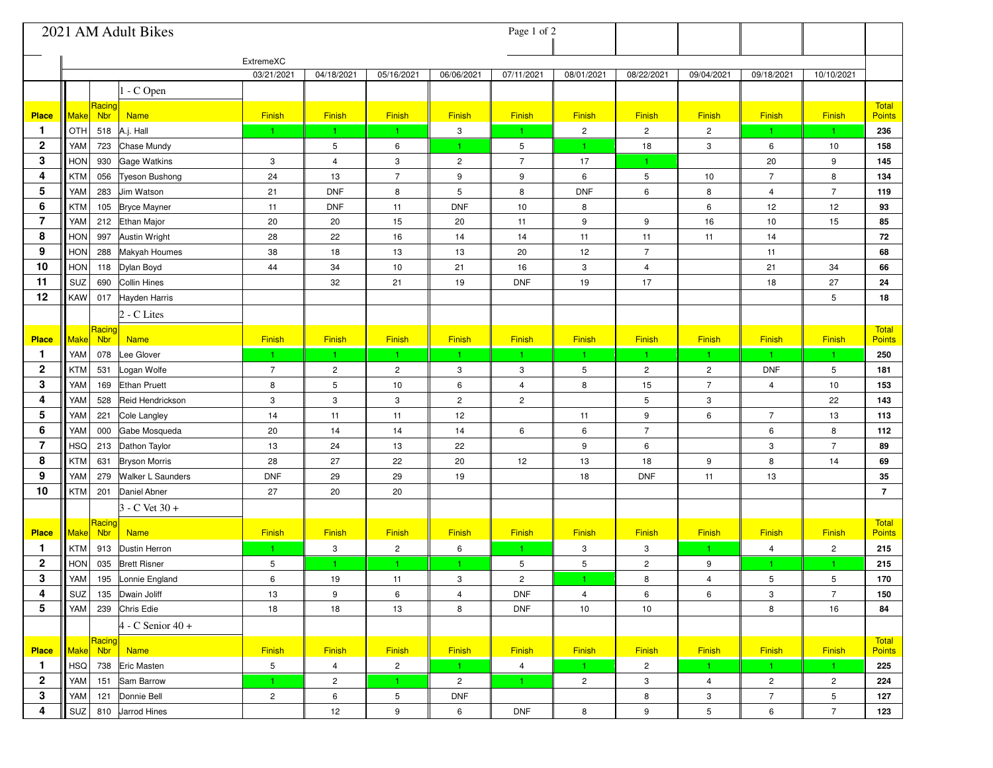| 2021 AM Adult Bikes<br>Page 1 of 2 |                                             |                |                |                         |                |                  |                |                |                         |                         |                         |                        |
|------------------------------------|---------------------------------------------|----------------|----------------|-------------------------|----------------|------------------|----------------|----------------|-------------------------|-------------------------|-------------------------|------------------------|
|                                    |                                             | ExtremeXC      |                |                         |                |                  |                |                |                         |                         |                         |                        |
|                                    |                                             | 03/21/2021     | 04/18/2021     | 05/16/2021              | 06/06/2021     | 07/11/2021       | 08/01/2021     | 08/22/2021     | 09/04/2021              | 09/18/2021              | 10/10/2021              |                        |
|                                    | - C Open                                    |                |                |                         |                |                  |                |                |                         |                         |                         |                        |
| <b>Place</b>                       | Racing<br>Make<br><b>Nbr</b><br><b>Name</b> | Finish         | Finish         | Finish                  | Finish         | Finish           | Finish         | Finish         | Finish                  | Finish                  | Finish                  | Total<br><b>Points</b> |
| 1                                  | OTH<br>A.j. Hall<br>518                     | 1.             | $\mathbf{1}$   | $\mathbf{1}$            | 3              | $\mathbf{1}$     | $\sqrt{2}$     | $\overline{2}$ | $\mathbf{2}$            | $\mathbf{1}$            | $\mathbf{1}$            | 236                    |
| $\mathbf 2$                        | YAM<br>723<br>Chase Mundy                   |                | 5              | 6                       | 1.             | 5                |                | 18             | 3                       | 6                       | 10                      | 158                    |
| 3                                  | <b>HON</b><br>930<br><b>Gage Watkins</b>    | 3              | $\overline{4}$ | 3                       | $\overline{c}$ | $\boldsymbol{7}$ | 17             |                |                         | 20                      | 9                       | 145                    |
| 4                                  | <b>KTM</b><br>Tyeson Bushong<br>056         | 24             | 13             | $\overline{7}$          | 9              | 9                | 6              | 5              | 10                      | $\overline{7}$          | 8                       | 134                    |
| 5                                  | YAM<br>283<br>Jim Watson                    | 21             | <b>DNF</b>     | 8                       | 5              | 8                | <b>DNF</b>     | 6              | 8                       | $\overline{\mathbf{4}}$ | $\overline{7}$          | 119                    |
| 6                                  | 105 Bryce Mayner<br><b>KTM</b>              | 11             | <b>DNF</b>     | 11                      | <b>DNF</b>     | 10               | 8              |                | 6                       | 12                      | 12                      | 93                     |
| 7                                  | YAM<br>212 Ethan Major                      | 20             | 20             | 15                      | 20             | 11               | 9              | 9              | 16                      | 10                      | 15                      | 85                     |
| 8                                  | <b>HON</b><br><b>Austin Wright</b><br>997   | 28             | 22             | 16                      | 14             | 14               | 11             | 11             | 11                      | 14                      |                         | 72                     |
| 9                                  | <b>HON</b><br><b>Makyah Houmes</b><br>288   | 38             | 18             | 13                      | 13             | 20               | 12             | $\overline{7}$ |                         | 11                      |                         | 68                     |
| 10                                 | <b>HON</b><br>118 Dylan Boyd                | 44             | 34             | 10                      | 21             | 16               | 3              | $\overline{4}$ |                         | 21                      | 34                      | 66                     |
| 11                                 | Collin Hines<br>SUZ<br>690                  |                | 32             | 21                      | 19             | <b>DNF</b>       | 19             | 17             |                         | 18                      | 27                      | 24                     |
| 12                                 | <b>KAW</b><br>Hayden Harris<br>017          |                |                |                         |                |                  |                |                |                         |                         | 5                       | 18                     |
|                                    | 2 - C Lites                                 |                |                |                         |                |                  |                |                |                         |                         |                         |                        |
| <b>Place</b>                       | Racing<br>Make<br><b>Nbr</b><br><b>Name</b> | Finish         | Finish         | Finish                  | Finish         | Finish           | Finish         | Finish         | Finish                  | Finish                  | <b>Finish</b>           | Total<br><b>Points</b> |
| 1                                  | Lee Glover<br>YAM<br>078                    | $\mathbf{1}$   | $\mathbf{1}$   | $\vert$ 1               | $\mathbf{1}$   | $\mathbf{1}$     | 1.             | $\mathbf{1}$   | $\mathbf{1}$            | $\vert$ 1               | $\vert$ 1               | 250                    |
| $\mathbf 2$                        | <b>KTM</b><br>531<br>Logan Wolfe            | $\overline{7}$ | $\overline{c}$ | $\overline{c}$          | 3              | 3                | 5              | $\overline{2}$ | $\overline{c}$          | <b>DNF</b>              | 5                       | 181                    |
| 3                                  | YAM<br><b>Ethan Pruett</b><br>169           | 8              | 5              | 10                      | 6              | 4                | 8              | 15             | $\overline{7}$          | 4                       | 10                      | 153                    |
| 4                                  | YAM<br>528<br>Reid Hendrickson              | 3              | 3              | 3                       | $\overline{c}$ | $\overline{c}$   |                | 5              | 3                       |                         | 22                      | 143                    |
| 5                                  | YAM<br>221<br>Cole Langley                  | 14             | 11             | 11                      | 12             |                  | 11             | 9              | 6                       | $\overline{7}$          | 13                      | 113                    |
| 6                                  | YAM<br>Gabe Mosqueda<br>000                 | 20             | 14             | 14                      | 14             | 6                | 6              | $\overline{7}$ |                         | 6                       | 8                       | 112                    |
| 7                                  | <b>HSQ</b><br>213<br>Dathon Taylor          | 13             | 24             | 13                      | 22             |                  | 9              | 6              |                         | 3                       | $\overline{7}$          | 89                     |
| 8                                  | <b>KTM</b><br>631<br><b>Bryson Morris</b>   | 28             | 27             | 22                      | 20             | 12               | 13             | 18             | 9                       | 8                       | 14                      | 69                     |
| 9                                  | YAM<br>279<br><b>Walker L Saunders</b>      | <b>DNF</b>     | 29             | 29                      | 19             |                  | 18             | <b>DNF</b>     | 11                      | 13                      |                         | 35                     |
| 10                                 | <b>KTM</b><br>201<br>Daniel Abner           | 27             | 20             | 20                      |                |                  |                |                |                         |                         |                         | $\overline{7}$         |
|                                    | $3 - C$ Vet $30 +$                          |                |                |                         |                |                  |                |                |                         |                         |                         |                        |
| <b>Place</b>                       | Racing<br><b>Nbr</b><br>Make<br><b>Name</b> | Finish         | Finish         | Finish                  | Finish         | Finish           | Finish         | Finish         | Finish                  | Finish                  | Finish                  | Total<br><b>Points</b> |
| $\mathbf{1}$                       | <b>KTM</b><br>913<br>Dustin Herron          | $\mathbf{1}$   | 3              | $\overline{\mathbf{c}}$ | 6              | $\mathbf{1}$     | 3              | 3              | $\mathbf{1}$            | $\overline{4}$          | $\overline{\mathbf{c}}$ | 215                    |
| 2                                  | <b>HON</b><br>035<br><b>Brett Risner</b>    | 5              | $\mathbf{1}$   | 1.                      | 1.             | 5                | 5              | $\overline{c}$ | 9                       | 1                       |                         | 215                    |
| 3                                  | YAM<br>195<br>Lonnie England                | 6              | 19             | 11                      | 3              | $\overline{c}$   |                | 8              | $\overline{\mathbf{4}}$ | 5                       | 5                       | 170                    |
| 4                                  | SUZ<br>135 Dwain Joliff                     | 13             | 9              | 6                       | 4              | <b>DNF</b>       | $\overline{4}$ | 6              | 6                       | 3                       | $\overline{7}$          | 150                    |
| 5                                  | YAM<br>239 Chris Edie                       | 18             | 18             | 13                      | 8              | <b>DNF</b>       | 10             | 10             |                         | 8                       | 16                      | 84                     |
|                                    | $4 - C$ Senior $40 +$                       |                |                |                         |                |                  |                |                |                         |                         |                         |                        |
| <b>Place</b>                       | Racing<br>Make Nbr<br><b>Name</b>           | <b>Finish</b>  | <b>Finish</b>  | Finish                  | Finish         | Finish           | <b>Finish</b>  | Finish         | Finish                  | Finish                  | <b>Finish</b>           | Total<br><b>Points</b> |
| 1                                  | $ $ HSQ $ $<br>738 Eric Masten              | 5              | $\overline{4}$ | $\overline{2}$          | 1.             | $\overline{4}$   | $\mathbf{1}$   | $\overline{2}$ | $\mathbf{1}$            | $\mathbf{1}$            | $\blacksquare$          | 225                    |
| $\overline{2}$                     | YAM<br>151 Sam Barrow                       | 1.             | $\overline{2}$ | 1.                      | $\overline{2}$ | $\mathbf{1}$     | $\overline{2}$ | 3              | $\overline{4}$          | $\overline{c}$          | $\overline{c}$          | 224                    |
| 3                                  | YAM<br>121 Donnie Bell                      | $\overline{2}$ | 6              | 5                       | <b>DNF</b>     |                  |                | 8              | 3                       | $\overline{7}$          | 5                       | 127                    |
| 4                                  | SUZ<br>810 Jarrod Hines                     |                | 12             | 9                       | 6              | <b>DNF</b>       | 8              | 9              | 5                       | 6                       | $\overline{7}$          | 123                    |